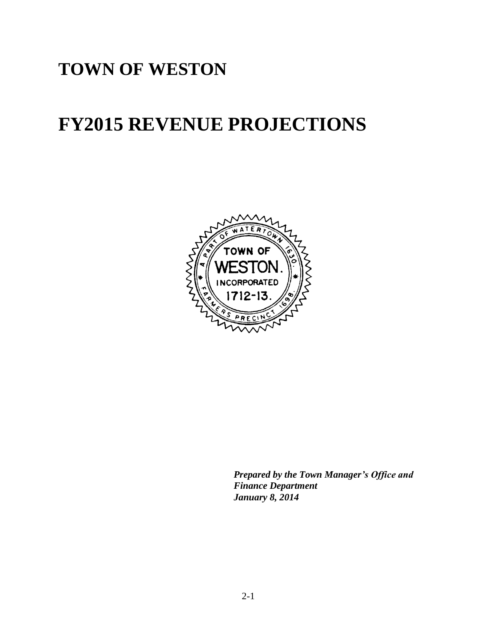# **TOWN OF WESTON**

# **FY2015 REVENUE PROJECTIONS**



*Prepared by the Town Manager's Office and Finance Department January 8, 2014*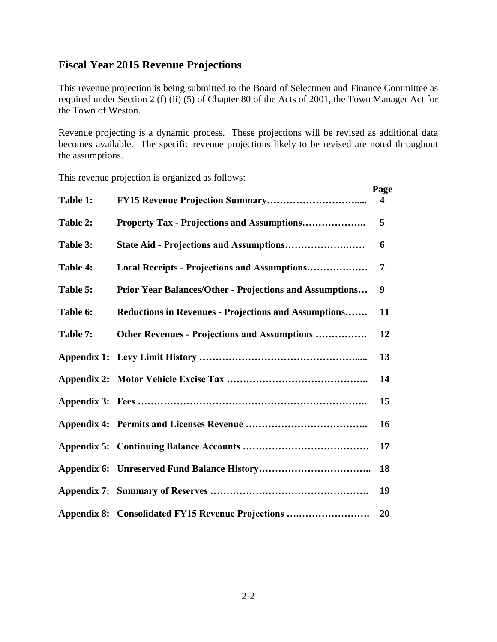#### **Fiscal Year 2015 Revenue Projections**

This revenue projection is being submitted to the Board of Selectmen and Finance Committee as required under Section 2 (f) (ii) (5) of Chapter 80 of the Acts of 2001, the Town Manager Act for the Town of Weston.

Revenue projecting is a dynamic process. These projections will be revised as additional data becomes available. The specific revenue projections likely to be revised are noted throughout the assumptions.

This revenue projection is organized as follows:

|          |                                                                | Page |
|----------|----------------------------------------------------------------|------|
| Table 1: |                                                                | 4    |
| Table 2: |                                                                | 5    |
| Table 3: |                                                                | 6    |
| Table 4: | Local Receipts - Projections and Assumptions                   | 7    |
| Table 5: | <b>Prior Year Balances/Other - Projections and Assumptions</b> | 9    |
| Table 6: | Reductions in Revenues - Projections and Assumptions           | 11   |
| Table 7: | Other Revenues - Projections and Assumptions                   | 12   |
|          |                                                                | 13   |
|          |                                                                | 14   |
|          |                                                                | 15   |
|          |                                                                | 16   |
|          |                                                                | 17   |
|          |                                                                | 18   |
|          |                                                                | 19   |
|          | Appendix 8: Consolidated FY15 Revenue Projections              | 20   |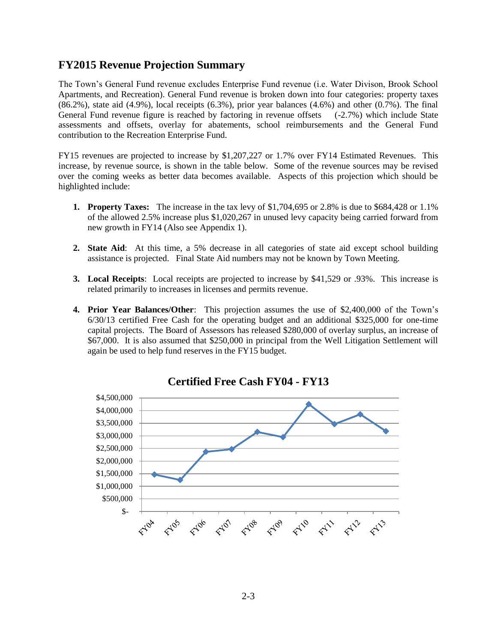#### **FY2015 Revenue Projection Summary**

The Town's General Fund revenue excludes Enterprise Fund revenue (i.e. Water Divison, Brook School Apartments, and Recreation). General Fund revenue is broken down into four categories: property taxes (86.2%), state aid (4.9%), local receipts (6.3%), prior year balances (4.6%) and other (0.7%). The final General Fund revenue figure is reached by factoring in revenue offsets (-2.7%) which include State assessments and offsets, overlay for abatements, school reimbursements and the General Fund contribution to the Recreation Enterprise Fund.

FY15 revenues are projected to increase by \$1,207,227 or 1.7% over FY14 Estimated Revenues. This increase, by revenue source, is shown in the table below. Some of the revenue sources may be revised over the coming weeks as better data becomes available. Aspects of this projection which should be highlighted include:

- **1. Property Taxes:** The increase in the tax levy of \$1,704,695 or 2.8% is due to \$684,428 or 1.1% of the allowed 2.5% increase plus \$1,020,267 in unused levy capacity being carried forward from new growth in FY14 (Also see Appendix 1).
- **2. State Aid**: At this time, a 5% decrease in all categories of state aid except school building assistance is projected. Final State Aid numbers may not be known by Town Meeting.
- **3. Local Receipts**: Local receipts are projected to increase by \$41,529 or .93%. This increase is related primarily to increases in licenses and permits revenue.
- **4. Prior Year Balances/Other**: This projection assumes the use of \$2,400,000 of the Town's 6/30/13 certified Free Cash for the operating budget and an additional \$325,000 for one-time capital projects. The Board of Assessors has released \$280,000 of overlay surplus, an increase of \$67,000. It is also assumed that \$250,000 in principal from the Well Litigation Settlement will again be used to help fund reserves in the FY15 budget.



**Certified Free Cash FY04 - FY13**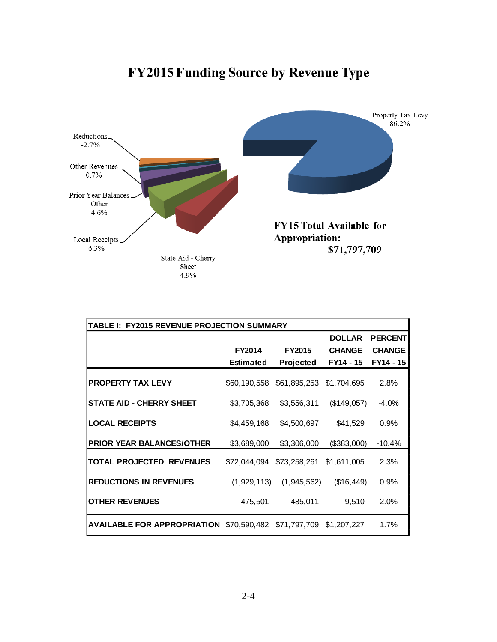

| TABLE I: FY2015 REVENUE PROJECTION SUMMARY                   |                  |                  |               |                |
|--------------------------------------------------------------|------------------|------------------|---------------|----------------|
|                                                              |                  |                  | <b>DOLLAR</b> | <b>PERCENT</b> |
|                                                              | <b>FY2014</b>    | <b>FY2015</b>    | <b>CHANGE</b> | <b>CHANGE</b>  |
|                                                              | <b>Estimated</b> | <b>Projected</b> | FY14 - 15     | FY14 - 15      |
| <b>PROPERTY TAX LEVY</b>                                     | \$60,190,558     | \$61,895,253     | \$1,704,695   | 2.8%           |
| <b>STATE AID - CHERRY SHEET</b>                              | \$3,705,368      | \$3,556,311      | (\$149,057)   | $-4.0%$        |
| <b>LOCAL RECEIPTS</b>                                        | \$4,459,168      | \$4,500,697      | \$41,529      | $0.9\%$        |
| <b>PRIOR YEAR BALANCES/OTHER</b>                             | \$3,689,000      | \$3,306,000      | (\$383,000)   | $-10.4%$       |
| <b>TOTAL PROJECTED REVENUES</b>                              | \$72,044,094     | \$73,258,261     | \$1,611,005   | 2.3%           |
| <b>REDUCTIONS IN REVENUES</b>                                | (1,929,113)      | (1,945,562)      | (\$16,449)    | $0.9\%$        |
| <b>OTHER REVENUES</b>                                        | 475,501          | 485,011          | 9,510         | 2.0%           |
| <b>AVAILABLE FOR APPROPRIATION \$70,590,482 \$71,797,709</b> |                  |                  | \$1,207,227   | 1.7%           |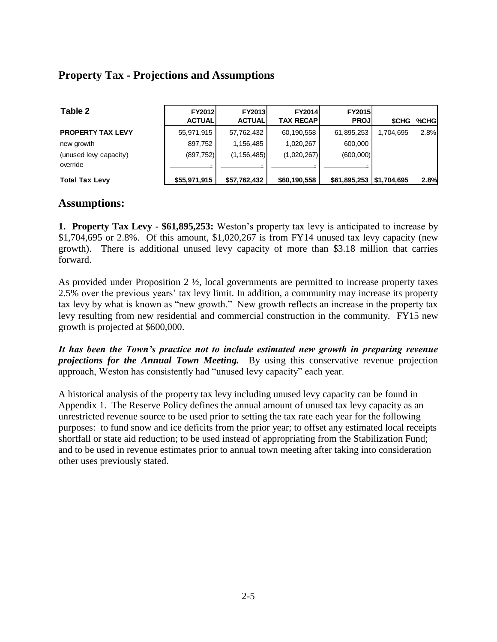### **Property Tax - Projections and Assumptions**

| Table 2                           | <b>FY2012</b><br><b>ACTUAL</b> | <b>FY2013</b><br><b>ACTUAL</b> | <b>FY2014</b><br><b>TAX RECAP</b> | <b>FY2015</b><br><b>PROJ</b>  | <b>SCHG</b> | %CHGI |
|-----------------------------------|--------------------------------|--------------------------------|-----------------------------------|-------------------------------|-------------|-------|
| <b>PROPERTY TAX LEVY</b>          | 55,971,915                     | 57,762,432                     | 60,190,558                        | 61,895,253                    | 1.704.695   | 2.8%  |
| new growth                        | 897,752                        | 1.156.485                      | 1.020.267                         | 600.000                       |             |       |
| (unused lew capacity)<br>override | (897, 752)                     | (1, 156, 485)                  | (1,020,267)                       | (600,000)                     |             |       |
| <b>Total Tax Levy</b>             | \$55,971,915                   | \$57,762,432                   | \$60,190,558                      | $$61,895,253 \mid $1,704,695$ |             | 2.8%  |

#### **Assumptions:**

**1. Property Tax Levy - \$61,895,253:** Weston's property tax levy is anticipated to increase by \$1,704,695 or 2.8%. Of this amount, \$1,020,267 is from FY14 unused tax levy capacity (new growth). There is additional unused levy capacity of more than \$3.18 million that carries forward.

As provided under Proposition  $2 \frac{1}{2}$ , local governments are permitted to increase property taxes 2.5% over the previous years' tax levy limit. In addition, a community may increase its property tax levy by what is known as "new growth." New growth reflects an increase in the property tax levy resulting from new residential and commercial construction in the community. FY15 new growth is projected at \$600,000.

*It has been the Town's practice not to include estimated new growth in preparing revenue projections for the Annual Town Meeting.* By using this conservative revenue projection approach, Weston has consistently had "unused levy capacity" each year.

A historical analysis of the property tax levy including unused levy capacity can be found in Appendix 1. The Reserve Policy defines the annual amount of unused tax levy capacity as an unrestricted revenue source to be used prior to setting the tax rate each year for the following purposes: to fund snow and ice deficits from the prior year; to offset any estimated local receipts shortfall or state aid reduction; to be used instead of appropriating from the Stabilization Fund; and to be used in revenue estimates prior to annual town meeting after taking into consideration other uses previously stated.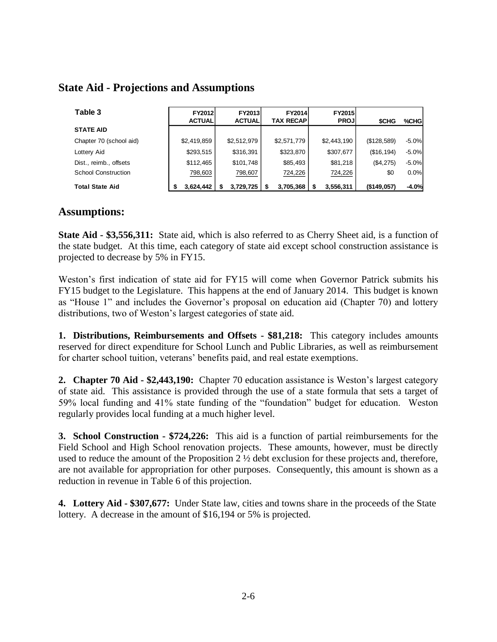| Table 3                    | <b>FY2012</b><br><b>ACTUAL</b> | <b>FY2013</b><br><b>ACTUAL</b> | <b>FY2014</b><br>TAX RECAPI | <b>FY2015</b><br><b>PROJI</b> | <b>SCHG</b> | %CHG    |
|----------------------------|--------------------------------|--------------------------------|-----------------------------|-------------------------------|-------------|---------|
| <b>STATE AID</b>           |                                |                                |                             |                               |             |         |
| Chapter 70 (school aid)    | \$2,419,859                    | \$2,512,979                    | \$2,571,779                 | \$2,443,190                   | (\$128,589) | $-5.0%$ |
| Lottery Aid                | \$293,515                      | \$316,391                      | \$323,870                   | \$307,677                     | (\$16, 194) | $-5.0%$ |
| Dist., reimb., offsets     | \$112,465                      | \$101,748                      | \$85,493                    | \$81,218                      | (\$4,275)   | $-5.0%$ |
| <b>School Construction</b> | 798,603                        | 798,607                        | 724,226                     | 724,226                       | \$0         | 0.0%    |
| <b>Total State Aid</b>     | 3.624.442                      | 3,729,725                      | 3,705,368                   | 3,556,311                     | (\$149,057) | $-4.0%$ |

#### **State Aid - Projections and Assumptions**

#### **Assumptions:**

**State Aid - \$3,556,311:** State aid, which is also referred to as Cherry Sheet aid, is a function of the state budget. At this time, each category of state aid except school construction assistance is projected to decrease by 5% in FY15.

Weston's first indication of state aid for FY15 will come when Governor Patrick submits his FY15 budget to the Legislature. This happens at the end of January 2014. This budget is known as "House 1" and includes the Governor's proposal on education aid (Chapter 70) and lottery distributions, two of Weston's largest categories of state aid.

**1. Distributions, Reimbursements and Offsets - \$81,218:** This category includes amounts reserved for direct expenditure for School Lunch and Public Libraries, as well as reimbursement for charter school tuition, veterans' benefits paid, and real estate exemptions.

**2. Chapter 70 Aid - \$2,443,190:** Chapter 70 education assistance is Weston's largest category of state aid. This assistance is provided through the use of a state formula that sets a target of 59% local funding and 41% state funding of the "foundation" budget for education. Weston regularly provides local funding at a much higher level.

**3. School Construction - \$724,226:** This aid is a function of partial reimbursements for the Field School and High School renovation projects. These amounts, however, must be directly used to reduce the amount of the Proposition 2 ½ debt exclusion for these projects and, therefore, are not available for appropriation for other purposes. Consequently, this amount is shown as a reduction in revenue in Table 6 of this projection.

**4. Lottery Aid - \$307,677:** Under State law, cities and towns share in the proceeds of the State lottery. A decrease in the amount of \$16,194 or 5% is projected.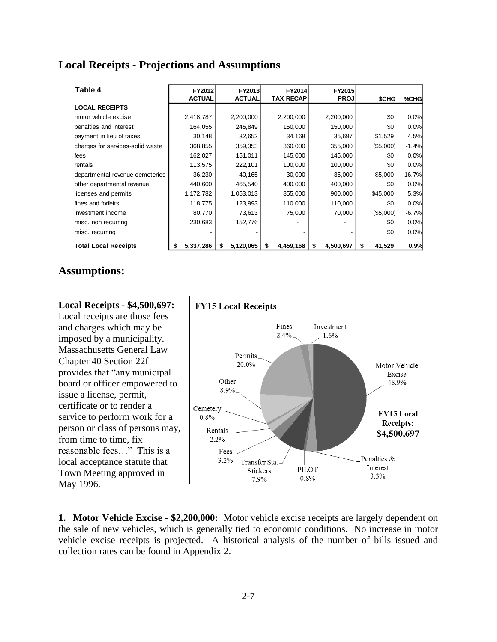#### **Local Receipts - Projections and Assumptions**

| Table 4                          | FY2012<br><b>ACTUAL</b> | FY2013<br><b>ACTUAL</b> | FY2014<br><b>TAX RECAP</b> | FY2015<br><b>PROJ</b> | \$CHG       | %CHG    |
|----------------------------------|-------------------------|-------------------------|----------------------------|-----------------------|-------------|---------|
| <b>LOCAL RECEIPTS</b>            |                         |                         |                            |                       |             |         |
| motor vehicle excise             | 2,418,787               | 2,200,000               | 2,200,000                  | 2,200,000             | \$0         | 0.0%    |
| penalties and interest           | 164,055                 | 245,849                 | 150,000                    | 150,000               | \$0         | 0.0%    |
| payment in lieu of taxes         | 30,148                  | 32,652                  | 34,168                     | 35,697                | \$1,529     | 4.5%    |
| charges for services-solid waste | 368,855                 | 359,353                 | 360,000                    | 355,000               | (\$5,000)   | $-1.4%$ |
| fees                             | 162,027                 | 151,011<br>145,000      |                            | 145,000               | \$0         | 0.0%    |
| rentals                          | 113,575                 | 222,101                 | 100,000                    | 100,000               | \$0         | 0.0%    |
| departmental revenue-cemeteries  | 36,230                  | 40,165                  | 30,000                     | 35,000                | \$5,000     | 16.7%   |
| other departmental revenue       | 440,600                 | 465,540                 | 400,000                    | 400,000               | \$0         | 0.0%    |
| licenses and permits             | 1,172,782               | 1,053,013               | 855,000                    | 900,000               | \$45,000    | 5.3%    |
| fines and forfeits               | 118,775                 | 123,993                 | 110,000                    | 110,000               | \$0         | 0.0%    |
| investment income                | 80,770                  | 73,613                  | 75,000                     | 70,000                | (\$5,000)   | $-6.7%$ |
| misc. non recurring              | 230,683                 | 152,776                 |                            |                       | \$0         | 0.0%    |
| misc. recurring                  |                         |                         |                            |                       | \$0         | 0.0%    |
| <b>Total Local Receipts</b>      | 5,337,286               | 5,120,065<br>\$         | 4,459,168<br>S             | 4,500,697<br>S        | 41,529<br>S | 0.9%    |

#### **Assumptions:**

#### **Local Receipts - \$4,500,697:**

Local receipts are those fees and charges which may be imposed by a municipality. Massachusetts General Law Chapter 40 Section 22f provides that "any municipal board or officer empowered to issue a license, permit, certificate or to render a service to perform work for a person or class of persons may, from time to time, fix reasonable fees…" This is a local acceptance statute that Town Meeting approved in May 1996.



**1. Motor Vehicle Excise - \$2,200,000:** Motor vehicle excise receipts are largely dependent on the sale of new vehicles, which is generally tied to economic conditions. No increase in motor vehicle excise receipts is projected. A historical analysis of the number of bills issued and collection rates can be found in Appendix 2.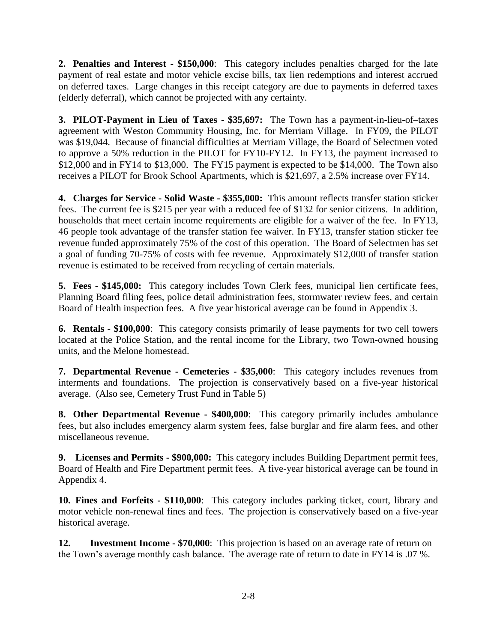**2. Penalties and Interest - \$150,000**: This category includes penalties charged for the late payment of real estate and motor vehicle excise bills, tax lien redemptions and interest accrued on deferred taxes. Large changes in this receipt category are due to payments in deferred taxes (elderly deferral), which cannot be projected with any certainty.

**3. PILOT-Payment in Lieu of Taxes - \$35,697:** The Town has a payment-in-lieu-of–taxes agreement with Weston Community Housing, Inc. for Merriam Village. In FY09, the PILOT was \$19,044. Because of financial difficulties at Merriam Village, the Board of Selectmen voted to approve a 50% reduction in the PILOT for FY10-FY12. In FY13, the payment increased to \$12,000 and in FY14 to \$13,000. The FY15 payment is expected to be \$14,000. The Town also receives a PILOT for Brook School Apartments, which is \$21,697, a 2.5% increase over FY14.

**4. Charges for Service - Solid Waste - \$355,000:** This amount reflects transfer station sticker fees. The current fee is \$215 per year with a reduced fee of \$132 for senior citizens. In addition, households that meet certain income requirements are eligible for a waiver of the fee. In FY13, 46 people took advantage of the transfer station fee waiver. In FY13, transfer station sticker fee revenue funded approximately 75% of the cost of this operation. The Board of Selectmen has set a goal of funding 70-75% of costs with fee revenue. Approximately \$12,000 of transfer station revenue is estimated to be received from recycling of certain materials.

**5. Fees - \$145,000:** This category includes Town Clerk fees, municipal lien certificate fees, Planning Board filing fees, police detail administration fees, stormwater review fees, and certain Board of Health inspection fees. A five year historical average can be found in Appendix 3.

**6. Rentals - \$100,000**: This category consists primarily of lease payments for two cell towers located at the Police Station, and the rental income for the Library, two Town-owned housing units, and the Melone homestead.

**7. Departmental Revenue - Cemeteries - \$35,000**: This category includes revenues from interments and foundations. The projection is conservatively based on a five-year historical average. (Also see, Cemetery Trust Fund in Table 5)

**8. Other Departmental Revenue - \$400,000**: This category primarily includes ambulance fees, but also includes emergency alarm system fees, false burglar and fire alarm fees, and other miscellaneous revenue.

**9. Licenses and Permits - \$900,000:** This category includes Building Department permit fees, Board of Health and Fire Department permit fees. A five-year historical average can be found in Appendix 4.

**10. Fines and Forfeits - \$110,000**: This category includes parking ticket, court, library and motor vehicle non-renewal fines and fees. The projection is conservatively based on a five-year historical average.

**12. Investment Income - \$70,000**: This projection is based on an average rate of return on the Town's average monthly cash balance. The average rate of return to date in FY14 is .07 %.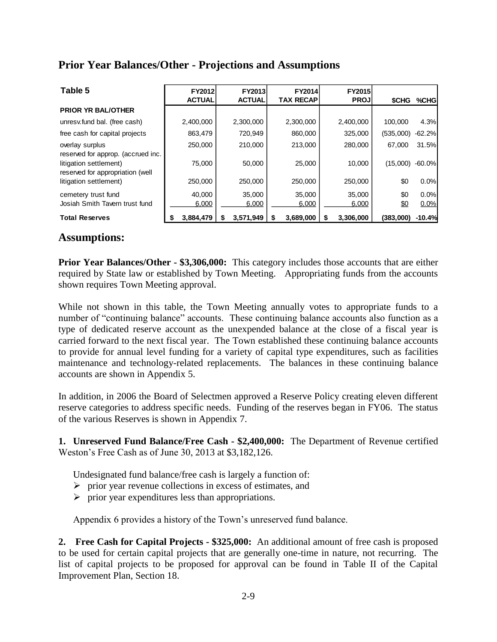#### **Prior Year Balances/Other - Projections and Assumptions**

| Table 5                                                    | <b>FY2012</b><br><b>ACTUAL</b> | <b>FY2013</b><br><b>ACTUAL</b> | FY2014<br><b>TAX RECAP</b> | <b>FY2015</b><br><b>PROJ</b> | \$CHG     | %CHG     |
|------------------------------------------------------------|--------------------------------|--------------------------------|----------------------------|------------------------------|-----------|----------|
| <b>PRIOR YR BAL/OTHER</b>                                  |                                |                                |                            |                              |           |          |
| unresv.fund bal. (free cash)                               | 2,400,000                      | 2,300,000                      | 2,300,000                  | 2,400,000                    | 100.000   | 4.3%     |
| free cash for capital projects                             | 863.479                        | 720.949                        | 860,000                    | 325,000                      | (535,000) | $-62.2%$ |
| overlay surplus<br>reserved for approp. (accrued inc.      | 250,000                        | 210,000                        | 213,000                    | 280,000                      | 67,000    | 31.5%    |
| litigation settlement)<br>reserved for appropriation (well | 75,000                         | 50,000                         | 25,000                     | 10.000                       | (15,000)  | $-60.0%$ |
| litigation settlement)                                     | 250,000                        | 250,000                        | 250,000                    | 250,000                      | \$0       | 0.0%     |
| cemetery trust fund                                        | 40,000                         | 35,000                         | 35,000                     | 35,000                       | \$0       | 0.0%     |
| Josiah Smith Tavern trust fund                             | 6,000                          | 6,000                          | 6,000                      | 6,000                        | \$0       | 0.0%     |
| <b>Total Reserves</b>                                      | 3,884,479                      | 3,571,949                      | 3,689,000                  | 3,306,000<br>S               | (383,000) | $-10.4%$ |

#### **Assumptions:**

**Prior Year Balances/Other - \$3,306,000:** This category includes those accounts that are either required by State law or established by Town Meeting. Appropriating funds from the accounts shown requires Town Meeting approval.

While not shown in this table, the Town Meeting annually votes to appropriate funds to a number of "continuing balance" accounts. These continuing balance accounts also function as a type of dedicated reserve account as the unexpended balance at the close of a fiscal year is carried forward to the next fiscal year. The Town established these continuing balance accounts to provide for annual level funding for a variety of capital type expenditures, such as facilities maintenance and technology-related replacements. The balances in these continuing balance accounts are shown in Appendix 5.

In addition, in 2006 the Board of Selectmen approved a Reserve Policy creating eleven different reserve categories to address specific needs. Funding of the reserves began in FY06. The status of the various Reserves is shown in Appendix 7.

**1. Unreserved Fund Balance/Free Cash - \$2,400,000:** The Department of Revenue certified Weston's Free Cash as of June 30, 2013 at \$3,182,126.

Undesignated fund balance/free cash is largely a function of:

- $\triangleright$  prior year revenue collections in excess of estimates, and
- $\triangleright$  prior year expenditures less than appropriations.

Appendix 6 provides a history of the Town's unreserved fund balance.

**2. Free Cash for Capital Projects - \$325,000:** An additional amount of free cash is proposed to be used for certain capital projects that are generally one-time in nature, not recurring. The list of capital projects to be proposed for approval can be found in Table II of the Capital Improvement Plan, Section 18.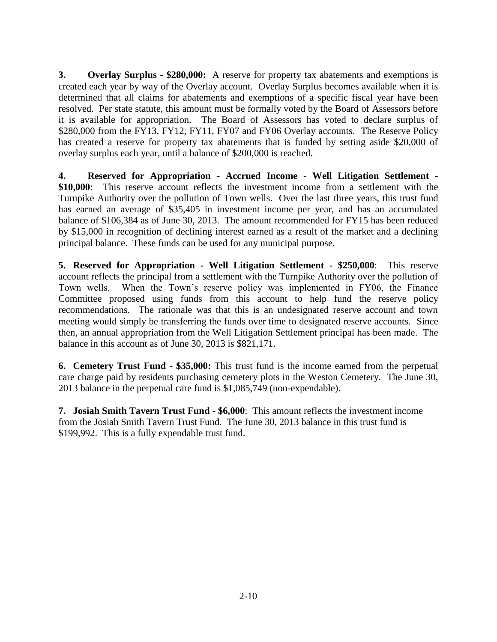**3. Overlay Surplus - \$280,000:** A reserve for property tax abatements and exemptions is created each year by way of the Overlay account. Overlay Surplus becomes available when it is determined that all claims for abatements and exemptions of a specific fiscal year have been resolved. Per state statute, this amount must be formally voted by the Board of Assessors before it is available for appropriation. The Board of Assessors has voted to declare surplus of \$280,000 from the FY13, FY12, FY11, FY07 and FY06 Overlay accounts. The Reserve Policy has created a reserve for property tax abatements that is funded by setting aside \$20,000 of overlay surplus each year, until a balance of \$200,000 is reached.

**4. Reserved for Appropriation - Accrued Income - Well Litigation Settlement - \$10,000**: This reserve account reflects the investment income from a settlement with the Turnpike Authority over the pollution of Town wells. Over the last three years, this trust fund has earned an average of \$35,405 in investment income per year, and has an accumulated balance of \$106,384 as of June 30, 2013. The amount recommended for FY15 has been reduced by \$15,000 in recognition of declining interest earned as a result of the market and a declining principal balance. These funds can be used for any municipal purpose.

**5. Reserved for Appropriation - Well Litigation Settlement - \$250,000**: This reserve account reflects the principal from a settlement with the Turnpike Authority over the pollution of Town wells. When the Town's reserve policy was implemented in FY06, the Finance Committee proposed using funds from this account to help fund the reserve policy recommendations. The rationale was that this is an undesignated reserve account and town meeting would simply be transferring the funds over time to designated reserve accounts. Since then, an annual appropriation from the Well Litigation Settlement principal has been made. The balance in this account as of June 30, 2013 is \$821,171.

**6. Cemetery Trust Fund - \$35,000:** This trust fund is the income earned from the perpetual care charge paid by residents purchasing cemetery plots in the Weston Cemetery. The June 30, 2013 balance in the perpetual care fund is \$1,085,749 (non-expendable).

**7. Josiah Smith Tavern Trust Fund - \$6,000**: This amount reflects the investment income from the Josiah Smith Tavern Trust Fund. The June 30, 2013 balance in this trust fund is \$199,992. This is a fully expendable trust fund.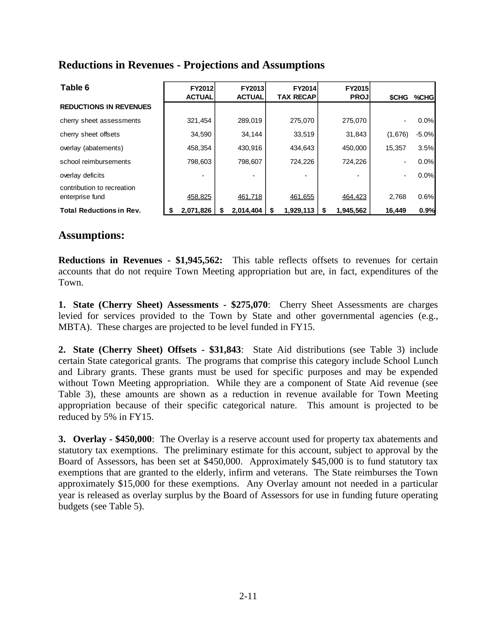#### **Reductions in Revenues - Projections and Assumptions**

| Table 6                                       | FY2012<br><b>ACTUAL</b> | FY2013<br><b>ACTUAL</b> | <b>TAX RECAP</b> | FY2014 | FY2015<br><b>PROJ</b> | \$CHG                    | %CHG    |
|-----------------------------------------------|-------------------------|-------------------------|------------------|--------|-----------------------|--------------------------|---------|
| <b>REDUCTIONS IN REVENUES</b>                 |                         |                         |                  |        |                       |                          |         |
| cherry sheet assessments                      | 321,454                 | 289,019                 | 275,070          |        | 275,070               | $\overline{\phantom{a}}$ | 0.0%    |
| cherry sheet offsets                          | 34,590                  | 34,144                  |                  | 33,519 | 31,843                | (1,676)                  | $-5.0%$ |
| overlay (abatements)                          | 458,354                 | 430,916                 | 434,643          |        | 450,000               | 15,357                   | 3.5%    |
| school reimbursements                         | 798,603                 | 798,607                 | 724,226          |        | 724,226               | $\overline{\phantom{a}}$ | 0.0%    |
| overlay deficits                              |                         |                         |                  |        |                       | $\overline{\phantom{a}}$ | 0.0%    |
| contribution to recreation<br>enterprise fund | 458,825                 | 461,718                 | 461,655          |        | 464,423               | 2,768                    | 0.6%    |
| <b>Total Reductions in Rev.</b>               | 2,071,826               | 2,014,404               | 1,929,113<br>S   |        | 1,945,562<br>S        | 16,449                   | 0.9%    |

#### **Assumptions:**

**Reductions in Revenues - \$1,945,562:** This table reflects offsets to revenues for certain accounts that do not require Town Meeting appropriation but are, in fact, expenditures of the Town.

**1. State (Cherry Sheet) Assessments - \$275,070**: Cherry Sheet Assessments are charges levied for services provided to the Town by State and other governmental agencies (e.g., MBTA). These charges are projected to be level funded in FY15.

**2. State (Cherry Sheet) Offsets - \$31,843**: State Aid distributions (see Table 3) include certain State categorical grants. The programs that comprise this category include School Lunch and Library grants. These grants must be used for specific purposes and may be expended without Town Meeting appropriation. While they are a component of State Aid revenue (see Table 3), these amounts are shown as a reduction in revenue available for Town Meeting appropriation because of their specific categorical nature. This amount is projected to be reduced by 5% in FY15.

**3. Overlay - \$450,000**: The Overlay is a reserve account used for property tax abatements and statutory tax exemptions. The preliminary estimate for this account, subject to approval by the Board of Assessors, has been set at \$450,000. Approximately \$45,000 is to fund statutory tax exemptions that are granted to the elderly, infirm and veterans. The State reimburses the Town approximately \$15,000 for these exemptions. Any Overlay amount not needed in a particular year is released as overlay surplus by the Board of Assessors for use in funding future operating budgets (see Table 5).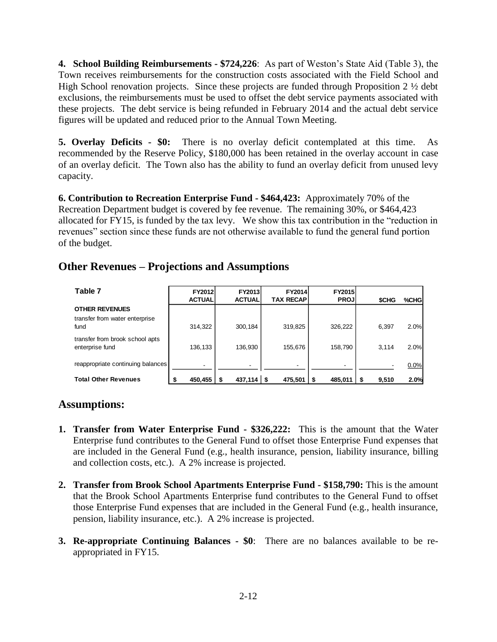**4. School Building Reimbursements - \$724,226**: As part of Weston's State Aid (Table 3), the Town receives reimbursements for the construction costs associated with the Field School and High School renovation projects. Since these projects are funded through Proposition 2  $\frac{1}{2}$  debt exclusions, the reimbursements must be used to offset the debt service payments associated with these projects. The debt service is being refunded in February 2014 and the actual debt service figures will be updated and reduced prior to the Annual Town Meeting.

**5. Overlay Deficits - \$0:** There is no overlay deficit contemplated at this time. As recommended by the Reserve Policy, \$180,000 has been retained in the overlay account in case of an overlay deficit. The Town also has the ability to fund an overlay deficit from unused levy capacity.

**6. Contribution to Recreation Enterprise Fund - \$464,423:** Approximately 70% of the Recreation Department budget is covered by fee revenue. The remaining 30%, or \$464,423 allocated for FY15, is funded by the tax levy. We show this tax contribution in the "reduction in revenues" section since these funds are not otherwise available to fund the general fund portion of the budget.

### **Other Revenues – Projections and Assumptions**

| Table 7                                            | <b>FY2012</b><br><b>ACTUAL</b> | <b>FY2013</b><br><b>ACTUAL</b> | <b>FY2014</b><br><b>TAX RECAP</b> | <b>FY2015</b><br><b>PROJ</b> | <b>SCHG</b> | %CHG |
|----------------------------------------------------|--------------------------------|--------------------------------|-----------------------------------|------------------------------|-------------|------|
| <b>OTHER REVENUES</b>                              |                                |                                |                                   |                              |             |      |
| transfer from water enterprise<br>fund             | 314,322                        | 300,184                        | 319,825                           | 326,222                      | 6,397       | 2.0% |
| transfer from brook school apts<br>enterprise fund | 136,133                        | 136,930                        | 155,676                           | 158,790                      | 3,114       | 2.0% |
| reappropriate continuing balances                  | ٠                              |                                | -                                 | -                            |             | 0.0% |
| <b>Total Other Revenues</b>                        | 450.455                        | $437.114$ S<br>՝ Տ             | 475.501                           | 485.011                      | 9,510       | 2.0% |

### **Assumptions:**

- **1. Transfer from Water Enterprise Fund - \$326,222:** This is the amount that the Water Enterprise fund contributes to the General Fund to offset those Enterprise Fund expenses that are included in the General Fund (e.g., health insurance, pension, liability insurance, billing and collection costs, etc.). A 2% increase is projected.
- **2. Transfer from Brook School Apartments Enterprise Fund - \$158,790:** This is the amount that the Brook School Apartments Enterprise fund contributes to the General Fund to offset those Enterprise Fund expenses that are included in the General Fund (e.g., health insurance, pension, liability insurance, etc.). A 2% increase is projected.
- **3. Re-appropriate Continuing Balances - \$0**: There are no balances available to be reappropriated in FY15.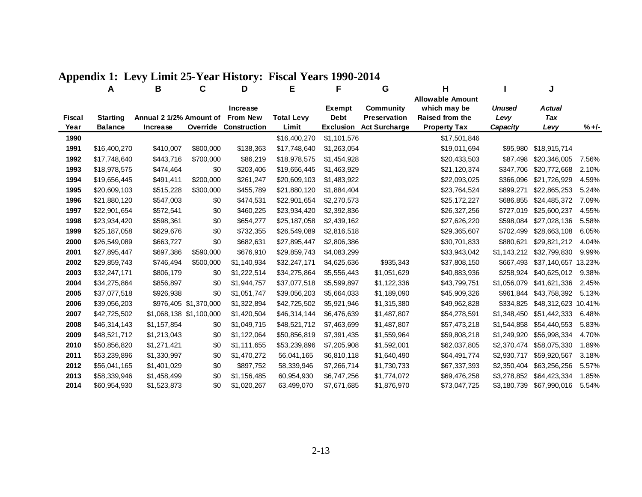|               | A               | В                       | C                       | D                            | Е                 | F                     | G                                | н                               |                       | J                           |         |
|---------------|-----------------|-------------------------|-------------------------|------------------------------|-------------------|-----------------------|----------------------------------|---------------------------------|-----------------------|-----------------------------|---------|
|               |                 |                         |                         |                              |                   |                       |                                  | <b>Allowable Amount</b>         |                       |                             |         |
| <b>Fiscal</b> | <b>Starting</b> | Annual 2 1/2% Amount of |                         | Increase<br><b>From New</b>  | <b>Total Levy</b> | Exempt<br><b>Debt</b> | Community<br><b>Preservation</b> | which may be<br>Raised from the | <b>Unused</b><br>Levy | <b>Actual</b><br><b>Tax</b> |         |
| Year          | <b>Balance</b>  | Increase                |                         | <b>Override Construction</b> | Limit             | <b>Exclusion</b>      | <b>Act Surcharge</b>             | <b>Property Tax</b>             | Capacity              | Levy                        | $% +/-$ |
| 1990          |                 |                         |                         |                              | \$16,400,270      | \$1,101,576           |                                  | \$17,501,846                    |                       |                             |         |
| 1991          | \$16,400,270    | \$410,007               | \$800,000               | \$138,363                    | \$17,748,640      | \$1,263,054           |                                  | \$19,011,694                    | \$95,980              | \$18,915,714                |         |
| 1992          | \$17,748,640    | \$443,716               | \$700,000               | \$86,219                     | \$18,978,575      | \$1,454,928           |                                  | \$20,433,503                    | \$87,498              | \$20,346,005                | 7.56%   |
| 1993          | \$18,978,575    | \$474,464               | \$0                     | \$203,406                    | \$19,656,445      | \$1,463,929           |                                  | \$21,120,374                    | \$347,706             | \$20,772,668                | 2.10%   |
| 1994          | \$19,656,445    | \$491,411               | \$200,000               | \$261,247                    | \$20,609,103      | \$1,483,922           |                                  | \$22,093,025                    | \$366,096             | \$21,726,929                | 4.59%   |
| 1995          | \$20,609,103    | \$515,228               | \$300,000               | \$455,789                    | \$21,880,120      | \$1,884,404           |                                  | \$23,764,524                    | \$899,271             | \$22,865,253                | 5.24%   |
| 1996          | \$21,880,120    | \$547,003               | \$0                     | \$474,531                    | \$22,901,654      | \$2,270,573           |                                  | \$25,172,227                    | \$686,855             | \$24,485,372                | 7.09%   |
| 1997          | \$22,901,654    | \$572,541               | \$0                     | \$460,225                    | \$23,934,420      | \$2,392,836           |                                  | \$26,327,256                    | \$727,019             | \$25,600,237                | 4.55%   |
| 1998          | \$23,934,420    | \$598,361               | \$0                     | \$654,277                    | \$25,187,058      | \$2,439,162           |                                  | \$27,626,220                    | \$598,084             | \$27,028,136                | 5.58%   |
| 1999          | \$25,187,058    | \$629,676               | \$0                     | \$732,355                    | \$26,549,089      | \$2,816,518           |                                  | \$29,365,607                    | \$702,499             | \$28,663,108                | 6.05%   |
| 2000          | \$26,549,089    | \$663,727               | \$0                     | \$682,631                    | \$27,895,447      | \$2,806,386           |                                  | \$30,701,833                    | \$880,621             | \$29,821,212                | 4.04%   |
| 2001          | \$27,895,447    | \$697,386               | \$590,000               | \$676,910                    | \$29,859,743      | \$4,083,299           |                                  | \$33,943,042                    | \$1,143,212           | \$32,799,830                | 9.99%   |
| 2002          | \$29,859,743    | \$746,494               | \$500,000               | \$1,140,934                  | \$32,247,171      | \$4,625,636           | \$935,343                        | \$37,808,150                    | \$667,493             | \$37,140,657                | 13.23%  |
| 2003          | \$32,247,171    | \$806,179               | \$0                     | \$1,222,514                  | \$34,275,864      | \$5,556,443           | \$1,051,629                      | \$40,883,936                    | \$258,924             | \$40,625,012                | 9.38%   |
| 2004          | \$34,275,864    | \$856,897               | \$0                     | \$1,944,757                  | \$37,077,518      | \$5,599,897           | \$1,122,336                      | \$43,799,751                    | \$1,056,079           | \$41,621,336                | 2.45%   |
| 2005          | \$37,077,518    | \$926,938               | \$0                     | \$1,051,747                  | \$39,056,203      | \$5,664,033           | \$1,189,090                      | \$45,909,326                    | \$961.844             | \$43,758,392                | 5.13%   |
| 2006          | \$39,056,203    |                         | \$976,405 \$1,370,000   | \$1,322,894                  | \$42,725,502      | \$5,921,946           | \$1,315,380                      | \$49,962,828                    | \$334,825             | \$48,312,623                | 10.41%  |
| 2007          | \$42,725,502    |                         | \$1,068,138 \$1,100,000 | \$1,420,504                  | \$46,314,144      | \$6,476,639           | \$1,487,807                      | \$54,278,591                    | \$1,348,450           | \$51,442,333                | 6.48%   |
| 2008          | \$46,314,143    | \$1,157,854             | \$0                     | \$1,049,715                  | \$48,521,712      | \$7,463,699           | \$1,487,807                      | \$57,473,218                    | \$1,544,858           | \$54,440,553                | 5.83%   |
| 2009          | \$48,521,712    | \$1,213,043             | \$0                     | \$1,122,064                  | \$50,856,819      | \$7,391,435           | \$1,559,964                      | \$59,808,218                    | \$1,249,920           | \$56,998,334                | 4.70%   |
| 2010          | \$50,856,820    | \$1,271,421             | \$0                     | \$1,111,655                  | \$53,239,896      | \$7,205,908           | \$1,592,001                      | \$62,037,805                    | \$2,370,474           | \$58,075,330                | 1.89%   |
| 2011          | \$53,239,896    | \$1,330,997             | \$0                     | \$1,470,272                  | 56,041,165        | \$6,810,118           | \$1,640,490                      | \$64,491,774                    | \$2,930,717           | \$59,920,567                | 3.18%   |
| 2012          | \$56,041,165    | \$1,401,029             | \$0                     | \$897,752                    | 58,339,946        | \$7,266,714           | \$1,730,733                      | \$67,337,393                    | \$2,350,404           | \$63,256,256                | 5.57%   |
| 2013          | \$58,339,946    | \$1,458,499             | \$0                     | \$1,156,485                  | 60,954,930        | \$6,747,256           | \$1,774,072                      | \$69,476,258                    | \$3,278,852           | \$64,423,334                | 1.85%   |
| 2014          | \$60,954,930    | \$1,523,873             | \$0                     | \$1,020,267                  | 63,499,070        | \$7,671,685           | \$1,876,970                      | \$73,047,725                    | \$3,180,739           | \$67,990,016                | 5.54%   |

#### **Appendix 1: Levy Limit 25-Year History: Fiscal Years 1990-2014**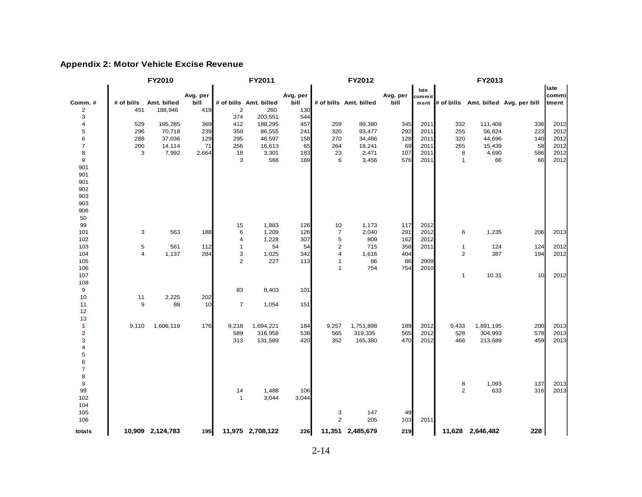#### **Appendix 2: Motor Vehicle Excise Revenue**

|                           |                         | FY2010           |          |                | FY2011                 |          | FY2012                  |                        |          |        | FY2013         |                  |                                           |       |
|---------------------------|-------------------------|------------------|----------|----------------|------------------------|----------|-------------------------|------------------------|----------|--------|----------------|------------------|-------------------------------------------|-------|
|                           |                         |                  |          |                |                        |          |                         |                        |          | late   |                |                  |                                           | late  |
|                           |                         |                  | Avg. per |                |                        | Avg. per |                         |                        | Avg. per | commit |                |                  |                                           | commi |
| Comm.#                    | # of bills              | Amt. billed      | bill     |                | # of bills Amt. billed | bill     |                         | # of bills Amt. billed | bill     |        |                |                  | ment # of bills Amt. billed Avg. per bill | tment |
| $\overline{c}$            | 451                     | 188,946          | 419      | $\mathbf 2$    | 260                    | 130      |                         |                        |          |        |                |                  |                                           |       |
| 3                         |                         |                  |          | 374            | 203,551                | 544      |                         |                        |          |        |                |                  |                                           |       |
| $\sqrt{4}$                | 529                     | 195,285          | 369      | 412            | 188,295                | 457      | 259                     | 89,390                 | 345      | 2011   | 332            | 111,409          | 336                                       | 2012  |
| $\mathbf 5$               | 296                     | 70,718           | 239      | 359            | 86,555                 | 241      | 320                     | 93,477                 | 292      | 2011   | 255            | 56,824           | 223                                       | 2012  |
| 6                         | 288                     | 37,036           | 129      | 295            | 46,597                 | 158      | 270                     | 34,486                 | 128      | 2011   | 320            | 44,696           | 140                                       | 2012  |
| $\overline{7}$            | 200                     | 14,114           | 71       | 256            | 16,613                 | 65       | 264                     | 18,241                 | 69       | 2011   | 265            | 15,439           | 58                                        | 2012  |
| 8                         | 3                       | 7,992            | 2,664    | 18             | 3,301                  | 183      | 23                      | 2,471                  | 107      | 2011   | 8              | 4,690            | 586                                       | 2012  |
| 9                         |                         |                  |          | 3              | 568                    | 189      | 6                       | 3,456                  | 576      | 2011   | $\mathbf{1}$   | 66               | 66                                        | 2012  |
| 901                       |                         |                  |          |                |                        |          |                         |                        |          |        |                |                  |                                           |       |
| 901                       |                         |                  |          |                |                        |          |                         |                        |          |        |                |                  |                                           |       |
| 901                       |                         |                  |          |                |                        |          |                         |                        |          |        |                |                  |                                           |       |
| 902                       |                         |                  |          |                |                        |          |                         |                        |          |        |                |                  |                                           |       |
| 903                       |                         |                  |          |                |                        |          |                         |                        |          |        |                |                  |                                           |       |
| 903                       |                         |                  |          |                |                        |          |                         |                        |          |        |                |                  |                                           |       |
| 906                       |                         |                  |          |                |                        |          |                         |                        |          |        |                |                  |                                           |       |
| 50                        |                         |                  |          |                |                        |          |                         |                        |          |        |                |                  |                                           |       |
| 99                        |                         |                  |          | 15             | 1,883                  | 126      | 10                      | 1,173                  | 117      | 2012   |                |                  |                                           |       |
| 101                       | 3                       | 563              | 188      | 6              | 1,209                  | 126      | $\overline{7}$          | 2,040                  | 291      | 2012   | 6              | 1,235            | 206                                       | 2013  |
| 102                       |                         |                  |          | 4              | 1,228                  | 307      | 5                       | 809                    | 162      | 2012   |                |                  |                                           |       |
| 103                       | $\mathbf 5$             | 561              | 112      | $\mathbf{1}$   | 54                     | 54       | $\overline{\mathbf{c}}$ | 715                    | 358      | 2011   | $\mathbf{1}$   | 124              | 124                                       | 2012  |
| 104                       | $\overline{\mathbf{4}}$ | 1,137            | 284      | 3              | 1,025                  | 342      | 4                       | 1,616                  | 404      |        | $\overline{2}$ | 387              | 194                                       | 2012  |
| 105                       |                         |                  |          | $\overline{2}$ | 227                    | 113      | $\mathbf{1}$            | 86                     | 86       | 2009   |                |                  |                                           |       |
| 106                       |                         |                  |          |                |                        |          | $\mathbf{1}$            | 754                    | 754      | 2010   |                |                  |                                           |       |
| 107                       |                         |                  |          |                |                        |          |                         |                        |          |        | $\mathbf{1}$   | 10.31            | 10                                        | 2012  |
| 108                       |                         |                  |          |                |                        |          |                         |                        |          |        |                |                  |                                           |       |
| 9                         |                         |                  |          | 83             | 8,403                  | 101      |                         |                        |          |        |                |                  |                                           |       |
| 10                        | 11                      | 2,225            | 202      |                |                        |          |                         |                        |          |        |                |                  |                                           |       |
| 11                        | 9                       | 88               | 10       | $\overline{7}$ | 1,054                  | 151      |                         |                        |          |        |                |                  |                                           |       |
| 12                        |                         |                  |          |                |                        |          |                         |                        |          |        |                |                  |                                           |       |
| 13                        |                         |                  |          |                |                        |          |                         |                        |          |        |                |                  |                                           |       |
| 1                         | 9,110                   | 1,606,119        | 176      | 9,218          | 1,694,221              | 184      | 9,257                   | 1,751,898              | 189      | 2012   | 9,433          | 1,891,195        | 200                                       | 2013  |
| $\sqrt{2}$                |                         |                  |          | 589            | 316,958                | 538      | 565                     | 319,335                | 565      | 2012   | 528            | 304,993          | 578                                       | 2013  |
| $\ensuremath{\mathsf{3}}$ |                         |                  |          | 313            | 131,589                | 420      | 352                     | 165,380                | 470      | 2012   | 466            | 213,689          | 459                                       | 2013  |
| 4                         |                         |                  |          |                |                        |          |                         |                        |          |        |                |                  |                                           |       |
| $\mathbf 5$               |                         |                  |          |                |                        |          |                         |                        |          |        |                |                  |                                           |       |
| 6                         |                         |                  |          |                |                        |          |                         |                        |          |        |                |                  |                                           |       |
| $\overline{7}$            |                         |                  |          |                |                        |          |                         |                        |          |        |                |                  |                                           |       |
| 8                         |                         |                  |          |                |                        |          |                         |                        |          |        |                |                  |                                           |       |
| 9                         |                         |                  |          |                |                        |          |                         |                        |          |        | 8              | 1,093            | 137                                       | 2013  |
| 99                        |                         |                  |          | 14             | 1,488                  | 106      |                         |                        |          |        | $\overline{2}$ | 633              | 316                                       | 2013  |
| 102                       |                         |                  |          | $\mathbf{1}$   | 3,044                  | 3,044    |                         |                        |          |        |                |                  |                                           |       |
| 104                       |                         |                  |          |                |                        |          |                         |                        |          |        |                |                  |                                           |       |
| 105                       |                         |                  |          |                |                        |          | 3                       | 147                    | 49       |        |                |                  |                                           |       |
| 106                       |                         |                  |          |                |                        |          | $\overline{2}$          | 205                    | 103      | 2011   |                |                  |                                           |       |
| totals                    |                         | 10,909 2,124,783 | 195      |                | 11,975 2,708,122       | 226      |                         | 11,351 2,485,679       | 219      |        |                | 11,628 2,646,482 | 228                                       |       |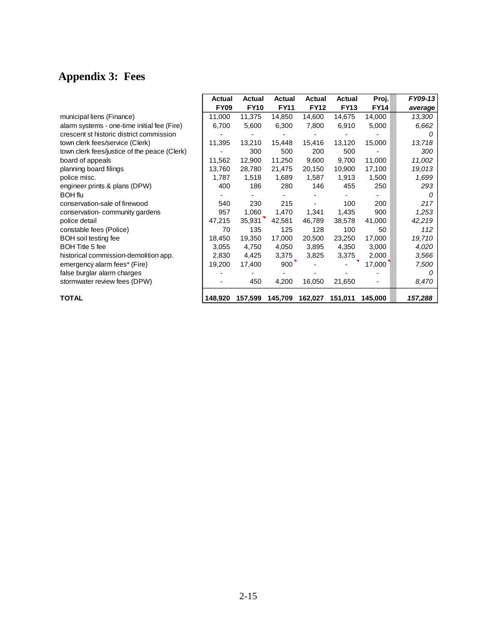# **Appendix 3: Fees**

|                                              | Actual      | Actual      | <b>Actual</b> | Actual      | Actual      | Proj.       | FY09-13 |
|----------------------------------------------|-------------|-------------|---------------|-------------|-------------|-------------|---------|
|                                              | <b>FY09</b> | <b>FY10</b> | <b>FY11</b>   | <b>FY12</b> | <b>FY13</b> | <b>FY14</b> | average |
| municipal liens (Finance)                    | 11,000      | 11,375      | 14,850        | 14,600      | 14,675      | 14,000      | 13,300  |
| alarm systems - one-time initial fee (Fire)  | 6,700       | 5,600       | 6,300         | 7,800       | 6,910       | 5,000       | 6,662   |
| crescent st historic district commission     |             |             |               |             |             |             |         |
| town clerk fees/service (Clerk)              | 11,395      | 13,210      | 15,448        | 15,416      | 13,120      | 15,000      | 13,718  |
| town clerk fees/justice of the peace (Clerk) |             | 300         | 500           | 200         | 500         |             | 300     |
| board of appeals                             | 11,562      | 12,900      | 11,250        | 9,600       | 9,700       | 11,000      | 11,002  |
| planning board filings                       | 13,760      | 28,780      | 21,475        | 20,150      | 10,900      | 17,100      | 19,013  |
| police misc.                                 | 1,787       | 1,518       | 1,689         | 1,587       | 1,913       | 1,500       | 1,699   |
| engineer prints & plans (DPW)                | 400         | 186         | 280           | 146         | 455         | 250         | 293     |
| <b>BOH</b> flu                               |             |             |               |             |             |             | 0       |
| conservation-sale of firewood                | 540         | 230         | 215           |             | 100         | 200         | 217     |
| conservation-community gardens               | 957         | 1,060       | 1,470         | 1,341       | 1,435       | 900         | 1,253   |
| police detail                                | 47,215      | 35,931      | 42,581        | 46,789      | 38,578      | 41,000      | 42,219  |
| constable fees (Police)                      | 70          | 135         | 125           | 128         | 100         | 50          | 112     |
| <b>BOH</b> soil testing fee                  | 18,450      | 19,350      | 17,000        | 20,500      | 23,250      | 17,000      | 19,710  |
| <b>BOH Title 5 fee</b>                       | 3,055       | 4,750       | 4,050         | 3,895       | 4,350       | 3,000       | 4,020   |
| historical commission-demolition app.        | 2,830       | 4,425       | 3,375         | 3,825       | 3,375       | 2,000       | 3,566   |
| emergency alarm fees* (Fire)                 | 19,200      | 17,400      | 900           |             |             | 17,000      | 7,500   |
| false burglar alarm charges                  |             |             |               |             |             |             | 0       |
| stormwater review fees (DPW)                 |             | 450         | 4,200         | 16,050      | 21,650      |             | 8,470   |
| <b>TOTAL</b>                                 | 148,920     | 157,599     | 145,709       | 162,027     | 151,011     | 145,000     | 157,288 |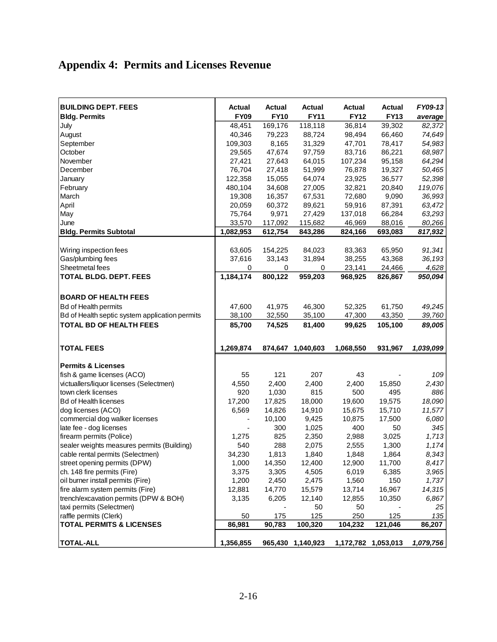# **Appendix 4: Permits and Licenses Revenue**

| <b>BUILDING DEPT. FEES</b><br><b>Bldg. Permits</b> | Actual<br><b>FY09</b> | Actual<br><b>FY10</b> | Actual<br><b>FY11</b> | Actual<br><b>FY12</b> | <b>Actual</b><br><b>FY13</b> | FY09-13<br>average |
|----------------------------------------------------|-----------------------|-----------------------|-----------------------|-----------------------|------------------------------|--------------------|
| July                                               | 48,451                | 169,176               | 118,118               | 36,814                | 39,302                       | 82,372             |
| August                                             | 40,346                | 79,223                | 88,724                | 98,494                | 66,460                       | 74,649             |
| September                                          | 109,303               | 8,165                 | 31,329                | 47,701                | 78,417                       | 54,983             |
| October                                            | 29,565                | 47,674                | 97,759                | 83,716                | 86,221                       | 68,987             |
| November                                           | 27,421                | 27,643                | 64,015                | 107,234               | 95,158                       | 64,294             |
| December                                           | 76,704                | 27,418                | 51,999                | 76,878                | 19,327                       | 50,465             |
| January                                            | 122,358               | 15,055                | 64,074                | 23,925                | 36,577                       | 52,398             |
| February                                           | 480,104               | 34,608                | 27,005                | 32,821                | 20,840                       | 119,076            |
| March                                              | 19,308                | 16,357                | 67,531                | 72,680                | 9,090                        | 36,993             |
| April                                              | 20,059                | 60,372                | 89,621                | 59,916                | 87,391                       | 63,472             |
| May                                                | 75,764                | 9,971                 | 27,429                | 137,018               | 66,284                       | 63,293             |
| June                                               | 33,570                | 117,092               | 115,682               | 46,969                | 88,016                       | 80,266             |
| <b>Bldg. Permits Subtotal</b>                      | 1,082,953             | 612,754               |                       |                       |                              | 817,932            |
|                                                    |                       |                       | 843,286               | 824,166               | 693,083                      |                    |
|                                                    |                       |                       |                       |                       |                              |                    |
| Wiring inspection fees                             | 63,605                | 154,225               | 84,023                | 83,363                | 65,950                       | 91,341             |
| Gas/plumbing fees                                  | 37,616                | 33,143                | 31,894                | 38,255                | 43,368                       | 36,193             |
| Sheetmetal fees                                    | 0                     | 0                     | 0                     | 23,141                | 24,466                       | 4,628              |
| <b>TOTAL BLDG. DEPT. FEES</b>                      | 1,184,174             | 800,122               | 959,203               | 968,925               | 826,867                      | 950,094            |
|                                                    |                       |                       |                       |                       |                              |                    |
| <b>BOARD OF HEALTH FEES</b>                        |                       |                       |                       |                       |                              |                    |
| Bd of Health permits                               | 47,600                | 41,975                | 46,300                | 52,325                | 61,750                       | 49,245             |
| Bd of Health septic system application permits     | 38,100                | 32,550                | 35,100                | 47,300                | 43,350                       | 39,760             |
| <b>TOTAL BD OF HEALTH FEES</b>                     | 85,700                | 74,525                | 81,400                | 99,625                | 105,100                      | 89,005             |
|                                                    |                       |                       |                       |                       |                              |                    |
| <b>TOTAL FEES</b>                                  | 1,269,874             |                       | 874,647 1,040,603     | 1,068,550             | 931,967                      | 1,039,099          |
|                                                    |                       |                       |                       |                       |                              |                    |
| <b>Permits &amp; Licenses</b>                      |                       |                       |                       |                       |                              |                    |
| fish & game licenses (ACO)                         | 55                    | 121                   | 207                   | 43                    |                              | 109                |
| victuallers/liquor licenses (Selectmen)            | 4,550                 | 2,400                 | 2,400                 | 2,400                 | 15,850                       | 2,430              |
| town clerk licenses                                | 920                   | 1,030                 | 815                   | 500                   | 495                          | 886                |
| <b>Bd of Health licenses</b>                       | 17,200                | 17,825                | 18,000                | 19,600                | 19,575                       | 18,090             |
| dog licenses (ACO)                                 | 6,569                 | 14,826                | 14,910                | 15,675                | 15,710                       | 11,577             |
| commercial dog walker licenses                     |                       | 10,100                | 9,425                 | 10,875                | 17,500                       | 6,080              |
| late fee - dog licenses                            |                       | 300                   | 1,025                 | 400                   | 50                           | 345                |
| firearm permits (Police)                           | 1,275                 | 825                   | 2,350                 | 2,988                 | 3,025                        | 1,713              |
| sealer weights measures permits (Building)         | 540                   | 288                   | 2,075                 | 2,555                 | 1,300                        | 1,174              |
| cable rental permits (Selectmen)                   | 34,230                | 1,813                 | 1,840                 | 1,848                 | 1,864                        | 8,343              |
| street opening permits (DPW)                       | 1,000                 | 14,350                | 12,400                | 12,900                | 11,700                       | 8,417              |
| ch. 148 fire permits (Fire)                        | 3,375                 | 3,305                 | 4,505                 | 6,019                 | 6,385                        | 3,965              |
| oil burner install permits (Fire)                  | 1,200                 | 2,450                 | 2,475                 | 1,560                 | 150                          | 1,737              |
| fire alarm system permits (Fire)                   | 12,881                | 14,770                | 15,579                | 13,714                | 16,967                       | 14,315             |
| trench/excavation permits (DPW & BOH)              | 3,135                 | 6,205                 | 12,140                | 12,855                | 10,350                       | 6,867              |
| taxi permits (Selectmen)                           |                       |                       | 50                    | 50                    |                              | 25                 |
| raffle permits (Clerk)                             | 50                    | 175                   | 125                   | 250                   | 125                          | 135                |
| <b>TOTAL PERMITS &amp; LICENSES</b>                | 86,981                | 90,783                | 100,320               | 104,232               | 121,046                      | 86,207             |
|                                                    |                       |                       |                       |                       |                              |                    |
| <b>TOTAL-ALL</b>                                   | 1,356,855             |                       | 965,430 1,140,923     | 1,172,782 1,053,013   |                              | 1,079,756          |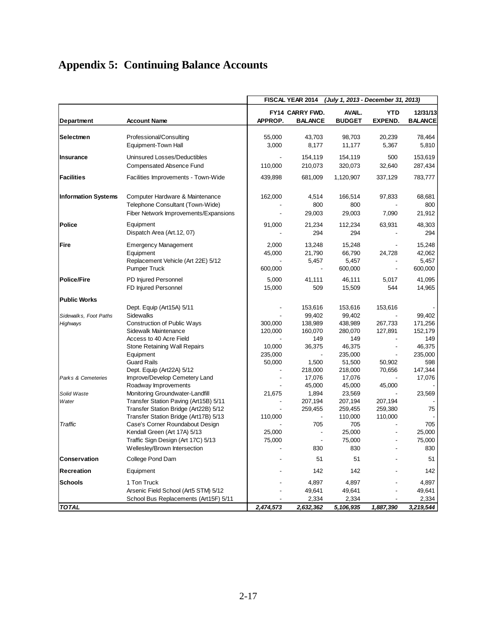# **Appendix 5: Continuing Balance Accounts**

|                                                                                 |                                                                                                                                                                                                                                                                                                                                                                                                                                                        |                                                                        | FISCAL YEAR 2014                                                                                                                | (July 1, 2013 - December 31, 2013)                                                                                                                      |                                                                                              |                                                                                                      |
|---------------------------------------------------------------------------------|--------------------------------------------------------------------------------------------------------------------------------------------------------------------------------------------------------------------------------------------------------------------------------------------------------------------------------------------------------------------------------------------------------------------------------------------------------|------------------------------------------------------------------------|---------------------------------------------------------------------------------------------------------------------------------|---------------------------------------------------------------------------------------------------------------------------------------------------------|----------------------------------------------------------------------------------------------|------------------------------------------------------------------------------------------------------|
| Department                                                                      | <b>Account Name</b>                                                                                                                                                                                                                                                                                                                                                                                                                                    | APPROP.                                                                | FY14 CARRY FWD.<br><b>BALANCE</b>                                                                                               | AVAIL.<br><b>BUDGET</b>                                                                                                                                 | <b>YTD</b><br><b>EXPEND.</b>                                                                 | 12/31/13<br><b>BALANCE</b>                                                                           |
| Selectmen                                                                       | Professional/Consulting<br>Equipment-Town Hall                                                                                                                                                                                                                                                                                                                                                                                                         | 55,000<br>3,000                                                        | 43,703<br>8,177                                                                                                                 | 98,703<br>11,177                                                                                                                                        | 20,239<br>5,367                                                                              | 78,464<br>5,810                                                                                      |
| Insurance                                                                       | Uninsured Losses/Deductibles<br>Compensated Absence Fund                                                                                                                                                                                                                                                                                                                                                                                               | 110.000                                                                | 154,119<br>210,073                                                                                                              | 154,119<br>320,073                                                                                                                                      | 500<br>32,640                                                                                | 153,619<br>287,434                                                                                   |
| <b>Facilities</b>                                                               | Facilities Improvements - Town-Wide                                                                                                                                                                                                                                                                                                                                                                                                                    | 439,898                                                                | 681,009                                                                                                                         | 1,120,907                                                                                                                                               | 337,129                                                                                      | 783,777                                                                                              |
| <b>Information Systems</b>                                                      | Computer Hardware & Maintenance<br>Telephone Consultant (Town-Wide)<br>Fiber Network Improvements/Expansions                                                                                                                                                                                                                                                                                                                                           | 162,000                                                                | 4,514<br>800<br>29,003                                                                                                          | 166,514<br>800<br>29,003                                                                                                                                | 97,833<br>7,090                                                                              | 68,681<br>800<br>21,912                                                                              |
| <b>Police</b>                                                                   | Equipment<br>Dispatch Area (Art.12, 07)                                                                                                                                                                                                                                                                                                                                                                                                                | 91,000                                                                 | 21,234<br>294                                                                                                                   | 112,234<br>294                                                                                                                                          | 63,931                                                                                       | 48,303<br>294                                                                                        |
| <b>Fire</b>                                                                     | <b>Emergency Management</b><br>Equipment<br>Replacement Vehicle (Art 22E) 5/12<br><b>Pumper Truck</b>                                                                                                                                                                                                                                                                                                                                                  | 2,000<br>45,000<br>600,000                                             | 13,248<br>21,790<br>5,457                                                                                                       | 15,248<br>66,790<br>5,457<br>600,000                                                                                                                    | 24,728<br>$\overline{a}$                                                                     | 15,248<br>42,062<br>5,457<br>600,000                                                                 |
| <b>Police/Fire</b>                                                              | PD Injured Personnel<br>FD Injured Personnel                                                                                                                                                                                                                                                                                                                                                                                                           | 5,000<br>15,000                                                        | 41,111<br>509                                                                                                                   | 46,111<br>15,509                                                                                                                                        | 5,017<br>544                                                                                 | 41,095<br>14,965                                                                                     |
| <b>Public Works</b>                                                             |                                                                                                                                                                                                                                                                                                                                                                                                                                                        |                                                                        |                                                                                                                                 |                                                                                                                                                         |                                                                                              |                                                                                                      |
| Sidewalks, Foot Paths<br>Highways<br>Parks & Cemeteries<br>Solid Waste<br>Water | Dept. Equip (Art15A) 5/11<br>Sidewalks<br><b>Construction of Public Ways</b><br>Sidewalk Maintenance<br>Access to 40 Acre Field<br>Stone Retaining Wall Repairs<br>Equipment<br><b>Guard Rails</b><br>Dept. Equip (Art22A) 5/12<br>Improve/Develop Cemetery Land<br>Roadway Improvements<br>Monitoring Groundwater-Landfill<br>Transfer Station Paving (Art15B) 5/11<br>Transfer Station Bridge (Art22B) 5/12<br>Transfer Station Bridge (Art17B) 5/13 | 300,000<br>120,000<br>10,000<br>235,000<br>50,000<br>21,675<br>110,000 | 153,616<br>99,402<br>138,989<br>160,070<br>149<br>36,375<br>1,500<br>218,000<br>17,076<br>45,000<br>1,894<br>207,194<br>259,455 | 153,616<br>99,402<br>438,989<br>280,070<br>149<br>46,375<br>235,000<br>51,500<br>218,000<br>17,076<br>45,000<br>23,569<br>207,194<br>259,455<br>110,000 | 153,616<br>267,733<br>127,891<br>50,902<br>70,656<br>45,000<br>207,194<br>259,380<br>110,000 | 99,402<br>171,256<br>152,179<br>149<br>46,375<br>235,000<br>598<br>147,344<br>17,076<br>23,569<br>75 |
| Traffic                                                                         | Case's Corner Roundabout Design<br>Kendall Green (Art 17A) 5/13<br>Traffic Sign Design (Art 17C) 5/13<br>Wellesley/Brown Intersection                                                                                                                                                                                                                                                                                                                  | 25,000<br>75,000                                                       | 705<br>$\blacksquare$<br>830                                                                                                    | 705<br>25,000<br>75,000<br>830                                                                                                                          | $\overline{\phantom{a}}$                                                                     | 705<br>25,000<br>75,000<br>830                                                                       |
| Conservation                                                                    | College Pond Dam                                                                                                                                                                                                                                                                                                                                                                                                                                       |                                                                        | 51                                                                                                                              | 51                                                                                                                                                      |                                                                                              | 51                                                                                                   |
| Recreation                                                                      | Equipment                                                                                                                                                                                                                                                                                                                                                                                                                                              |                                                                        | 142                                                                                                                             | 142                                                                                                                                                     |                                                                                              | 142                                                                                                  |
| <b>Schools</b>                                                                  | 1 Ton Truck<br>Arsenic Field School (Art5 STM) 5/12<br>School Bus Replacements (Art15F) 5/11                                                                                                                                                                                                                                                                                                                                                           |                                                                        | 4,897<br>49,641<br>2,334                                                                                                        | 4,897<br>49,641<br>2,334                                                                                                                                |                                                                                              | 4,897<br>49,641<br>2,334                                                                             |
| <b>TOTAL</b>                                                                    |                                                                                                                                                                                                                                                                                                                                                                                                                                                        | 2,474,573                                                              | 2,632,362                                                                                                                       | 5,106,935                                                                                                                                               | 1,887,390                                                                                    | 3,219,544                                                                                            |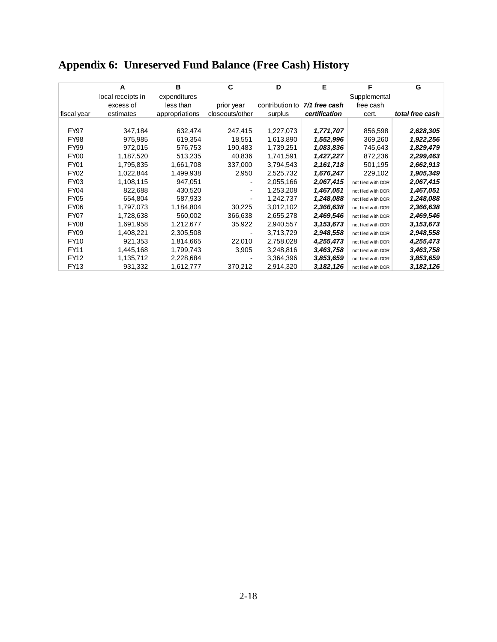|  | <b>Appendix 6: Unreserved Fund Balance (Free Cash) History</b> |  |
|--|----------------------------------------------------------------|--|
|  |                                                                |  |

|                  | A                 | в              | C               | D               | Е             | F                  | G               |
|------------------|-------------------|----------------|-----------------|-----------------|---------------|--------------------|-----------------|
|                  | local receipts in | expenditures   |                 |                 |               | Supplemental       |                 |
|                  | excess of         | less than      | prior year      | contribution to | 7/1 free cash | free cash          |                 |
| fiscal year      | estimates         | appropriations | closeouts/other | surplus         | certification | cert.              | total free cash |
|                  |                   |                |                 |                 |               |                    |                 |
| <b>FY97</b>      | 347,184           | 632,474        | 247,415         | 1,227,073       | 1,771,707     | 856,598            | 2,628,305       |
| <b>FY98</b>      | 975,985           | 619,354        | 18,551          | 1,613,890       | 1,552,996     | 369,260            | 1,922,256       |
| FY99             | 972,015           | 576,753        | 190,483         | 1,739,251       | 1,083,836     | 745,643            | 1,829,479       |
| FY <sub>00</sub> | 1,187,520         | 513,235        | 40,836          | 1,741,591       | 1,427,227     | 872,236            | 2,299,463       |
| FY <sub>01</sub> | 1,795,835         | 1,661,708      | 337,000         | 3,794,543       | 2,161,718     | 501,195            | 2,662,913       |
| FY <sub>02</sub> | 1,022,844         | 1,499,938      | 2,950           | 2,525,732       | 1,676,247     | 229,102            | 1,905,349       |
| FY03             | 1,108,115         | 947,051        |                 | 2,055,166       | 2,067,415     | not filed with DOR | 2,067,415       |
| FY04             | 822,688           | 430,520        |                 | 1,253,208       | 1,467,051     | not filed with DOR | 1,467,051       |
| FY <sub>05</sub> | 654,804           | 587,933        |                 | 1,242,737       | 1,248,088     | not filed with DOR | 1,248,088       |
| FY <sub>06</sub> | 1,797,073         | 1,184,804      | 30,225          | 3,012,102       | 2,366,638     | not filed with DOR | 2,366,638       |
| FY07             | 1,728,638         | 560,002        | 366,638         | 2,655,278       | 2,469,546     | not filed with DOR | 2,469,546       |
| <b>FY08</b>      | 1,691,958         | 1,212,677      | 35,922          | 2,940,557       | 3,153,673     | not filed with DOR | 3,153,673       |
| FY <sub>09</sub> | 1,408,221         | 2,305,508      |                 | 3,713,729       | 2,948,558     | not filed with DOR | 2,948,558       |
| <b>FY10</b>      | 921,353           | 1,814,665      | 22,010          | 2,758,028       | 4,255,473     | not filed with DOR | 4,255,473       |
| <b>FY11</b>      | 1,445,168         | 1,799,743      | 3,905           | 3,248,816       | 3,463,758     | not filed with DOR | 3,463,758       |
| FY12             | 1,135,712         | 2,228,684      |                 | 3,364,396       | 3,853,659     | not filed with DOR | 3,853,659       |
| FY13             | 931,332           | 1,612,777      | 370,212         | 2,914,320       | 3,182,126     | not filed with DOR | 3,182,126       |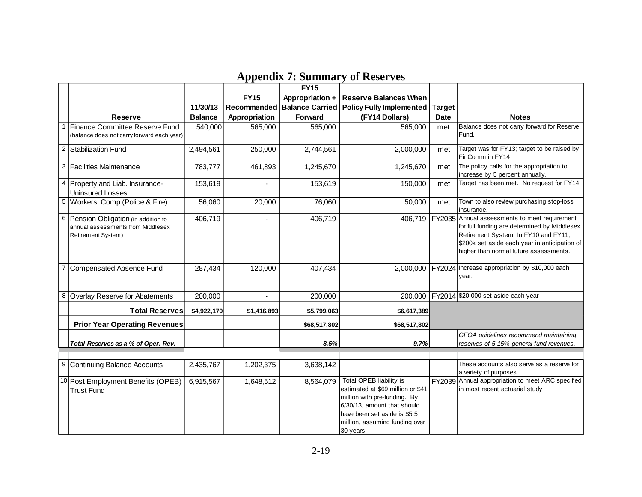|   |                                                                                                 |                |               | <b>FY15</b>            |                                                                                                                                                                                                            |               |                                                                                                                                                                                                                                          |
|---|-------------------------------------------------------------------------------------------------|----------------|---------------|------------------------|------------------------------------------------------------------------------------------------------------------------------------------------------------------------------------------------------------|---------------|------------------------------------------------------------------------------------------------------------------------------------------------------------------------------------------------------------------------------------------|
|   |                                                                                                 |                | <b>FY15</b>   | Appropriation +        | <b>Reserve Balances When</b>                                                                                                                                                                               |               |                                                                                                                                                                                                                                          |
|   |                                                                                                 | 11/30/13       | Recommended   | <b>Balance Carried</b> | <b>Policy Fully Implemented</b>                                                                                                                                                                            | <b>Target</b> |                                                                                                                                                                                                                                          |
|   | <b>Reserve</b>                                                                                  | <b>Balance</b> | Appropriation | Forward                | (FY14 Dollars)                                                                                                                                                                                             | <b>Date</b>   | <b>Notes</b>                                                                                                                                                                                                                             |
| 1 | Finance Committee Reserve Fund                                                                  | 540,000        | 565,000       | 565,000                | 565,000                                                                                                                                                                                                    | met           | Balance does not carry forward for Reserve                                                                                                                                                                                               |
|   | (balance does not carry forward each year)                                                      |                |               |                        |                                                                                                                                                                                                            |               | Fund.                                                                                                                                                                                                                                    |
|   | <sup>2</sup> Stabilization Fund                                                                 | 2,494,561      | 250,000       | 2,744,561              | 2,000,000                                                                                                                                                                                                  | met           | Target was for FY13; target to be raised by<br>FinComm in FY14                                                                                                                                                                           |
|   | 3 Facilities Maintenance                                                                        | 783,777        | 461,893       | 1,245,670              | 1,245,670                                                                                                                                                                                                  | met           | The policy calls for the appropriation to<br>increase by 5 percent annually.                                                                                                                                                             |
|   | 4 Property and Liab. Insurance-<br><b>Uninsured Losses</b>                                      | 153,619        |               | 153,619                | 150,000                                                                                                                                                                                                    | met           | Target has been met. No request for FY14.                                                                                                                                                                                                |
|   | 5 Workers' Comp (Police & Fire)                                                                 | 56,060         | 20,000        | 76,060                 | 50,000                                                                                                                                                                                                     | met           | Town to also review purchasing stop-loss<br>insurance.                                                                                                                                                                                   |
|   | 6 Pension Obligation (in addition to<br>annual assessments from Middlesex<br>Retirement System) | 406,719        |               | 406,719                |                                                                                                                                                                                                            |               | 406,719 FY2035 Annual assessments to meet requirement<br>for full funding are determined by Middlesex<br>Retirement System. In FY10 and FY11,<br>\$200k set aside each year in anticipation of<br>higher than normal future assessments. |
| 7 | Compensated Absence Fund                                                                        | 287,434        | 120,000       | 407,434                |                                                                                                                                                                                                            |               | 2,000,000 FY2024 Increase appropriation by \$10,000 each<br>year.                                                                                                                                                                        |
|   | 8 Overlay Reserve for Abatements                                                                | 200,000        | $\omega$      | 200,000                | 200,000                                                                                                                                                                                                    |               | FY2014 \$20,000 set aside each year                                                                                                                                                                                                      |
|   | <b>Total Reserves</b>                                                                           | \$4,922,170    | \$1,416,893   | \$5,799,063            | \$6,617,389                                                                                                                                                                                                |               |                                                                                                                                                                                                                                          |
|   | <b>Prior Year Operating Revenues</b>                                                            |                |               | \$68,517,802           | \$68,517,802                                                                                                                                                                                               |               |                                                                                                                                                                                                                                          |
|   |                                                                                                 |                |               |                        |                                                                                                                                                                                                            |               | GFOA guidelines recommend maintaining                                                                                                                                                                                                    |
|   | Total Reserves as a % of Oper. Rev.                                                             |                |               | 8.5%                   | 9.7%                                                                                                                                                                                                       |               | reserves of 5-15% general fund revenues.                                                                                                                                                                                                 |
|   |                                                                                                 |                |               |                        |                                                                                                                                                                                                            |               |                                                                                                                                                                                                                                          |
|   | 9 Continuing Balance Accounts                                                                   | 2,435,767      | 1,202,375     | 3,638,142              |                                                                                                                                                                                                            |               | These accounts also serve as a reserve for<br>a variety of purposes.                                                                                                                                                                     |
|   | 10 Post Employment Benefits (OPEB)<br><b>Trust Fund</b>                                         | 6,915,567      | 1,648,512     | 8,564,079              | Total OPEB liability is<br>estimated at \$69 million or \$41<br>million with pre-funding. By<br>6/30/13, amount that should<br>have been set aside is \$5.5<br>million, assuming funding over<br>30 years. |               | FY2039 Annual appropriation to meet ARC specified<br>in most recent actuarial study                                                                                                                                                      |

### **Appendix 7: Summary of Reserves**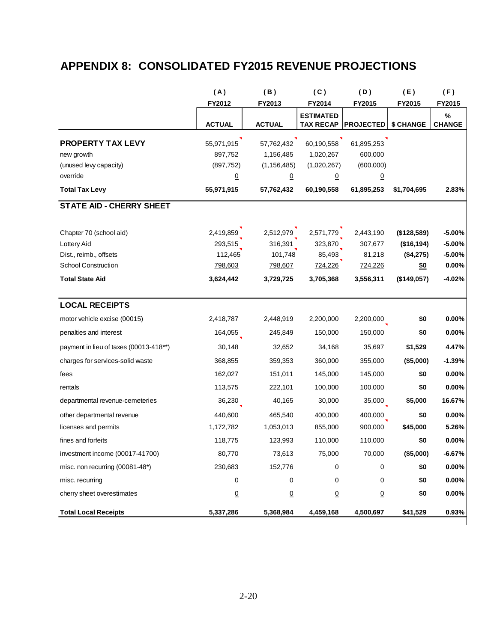## **APPENDIX 8: CONSOLIDATED FY2015 REVENUE PROJECTIONS**

|                                        | (A)             | (B)             | (C)              | (D)              | (E)         | (F)           |
|----------------------------------------|-----------------|-----------------|------------------|------------------|-------------|---------------|
|                                        | FY2012          | FY2013          | FY2014           | FY2015           | FY2015      | FY2015        |
|                                        |                 |                 | <b>ESTIMATED</b> |                  |             | %             |
|                                        | <b>ACTUAL</b>   | <b>ACTUAL</b>   | <b>TAX RECAP</b> | <b>PROJECTED</b> | \$ CHANGE   | <b>CHANGE</b> |
| <b>PROPERTY TAX LEVY</b>               | 55,971,915      | 57,762,432      | 60,190,558       | 61,895,253       |             |               |
| new growth                             | 897,752         | 1,156,485       | 1,020,267        | 600,000          |             |               |
| (unused levy capacity)                 | (897, 752)      | (1, 156, 485)   | (1,020,267)      | (600,000)        |             |               |
| override                               | $\underline{0}$ | $\overline{0}$  | <u>0</u>         | $\underline{0}$  |             |               |
| <b>Total Tax Levy</b>                  | 55,971,915      | 57,762,432      | 60,190,558       | 61,895,253       | \$1,704,695 | 2.83%         |
| <b>STATE AID - CHERRY SHEET</b>        |                 |                 |                  |                  |             |               |
| Chapter 70 (school aid)                | 2,419,859       | 2,512,979       | 2,571,779        | 2,443,190        | (\$128,589) | $-5.00%$      |
| Lottery Aid                            | 293,515         | 316,391         | 323,870          | 307,677          | (\$16, 194) | $-5.00%$      |
| Dist., reimb., offsets                 | 112,465         | 101,748         | 85,493           | 81,218           | (\$4,275)   | $-5.00%$      |
| <b>School Construction</b>             | 798,603         | 798,607         | 724,226          | 724,226          | \$0         | 0.00%         |
| <b>Total State Aid</b>                 | 3,624,442       | 3,729,725       | 3,705,368        | 3,556,311        | (\$149.057) | $-4.02%$      |
| <b>LOCAL RECEIPTS</b>                  |                 |                 |                  |                  |             |               |
| motor vehicle excise (00015)           | 2,418,787       | 2,448,919       | 2,200,000        | 2,200,000        | \$0         | 0.00%         |
| penalties and interest                 | 164,055         | 245,849         | 150,000          | 150,000          | \$0         | 0.00%         |
| payment in lieu of taxes (00013-418**) | 30,148          | 32,652          | 34,168           | 35,697           | \$1,529     | 4.47%         |
| charges for services-solid waste       | 368,855         | 359,353         | 360,000          | 355,000          | (\$5,000)   | $-1.39%$      |
| fees                                   | 162,027         | 151,011         | 145,000          | 145,000          | \$0         | 0.00%         |
| rentals                                | 113,575         | 222,101         | 100,000          | 100,000          | \$0         | 0.00%         |
| departmental revenue-cemeteries        | 36,230          | 40,165          | 30,000           | 35,000           | \$5,000     | 16.67%        |
| other departmental revenue             | 440,600         | 465,540         | 400,000          | 400,000          | \$0         | 0.00%         |
| licenses and permits                   | 1,172,782       | 1,053,013       | 855,000          | 900,000          | \$45,000    | 5.26%         |
| fines and forfeits                     | 118,775         | 123,993         | 110,000          | 110,000          | \$0         | $0.00\%$      |
| investment income (00017-41700)        | 80,770          | 73,613          | 75,000           | 70,000           | (\$5,000)   | $-6.67%$      |
| misc. non recurring (00081-48*)        | 230,683         | 152,776         | 0                | 0                | \$0         | $0.00\%$      |
| misc. recurring                        | 0               | 0               | 0                | 0                | \$0         | $0.00\%$      |
| cherry sheet overestimates             | $\underline{0}$ | $\underline{0}$ | $\overline{0}$   | $\overline{0}$   | \$0         | $0.00\%$      |
| <b>Total Local Receipts</b>            | 5,337,286       | 5,368,984       | 4,459,168        | 4,500,697        | \$41,529    | 0.93%         |